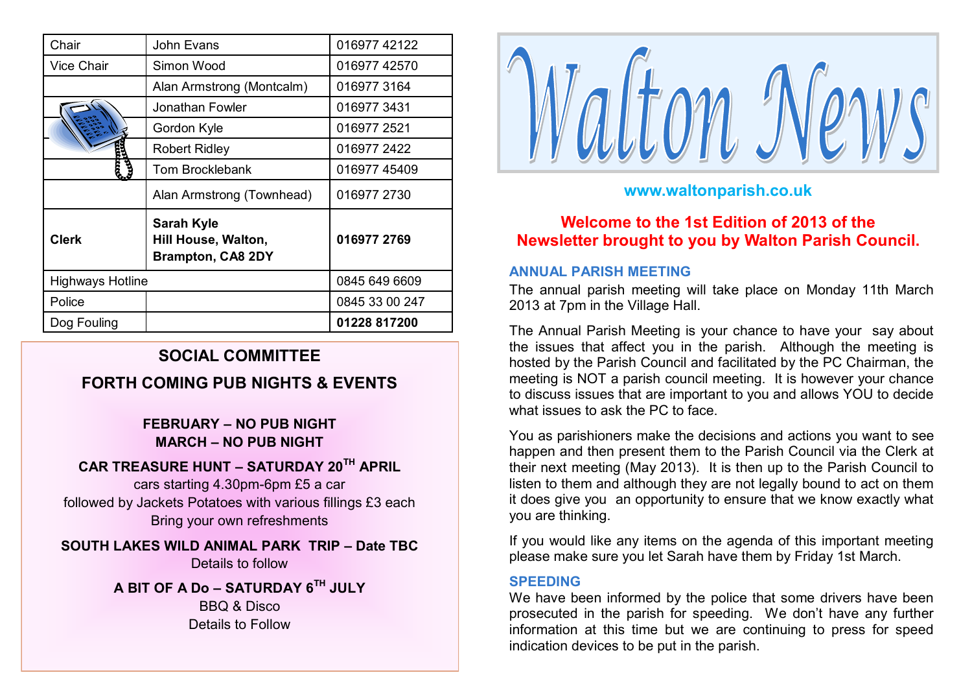| Chair                   | John Evans                                                           | 016977 42122   |
|-------------------------|----------------------------------------------------------------------|----------------|
| <b>Vice Chair</b>       | Simon Wood                                                           | 016977 42570   |
|                         | Alan Armstrong (Montcalm)                                            | 0169773164     |
|                         | Jonathan Fowler                                                      | 0169773431     |
|                         | Gordon Kyle                                                          | 016977 2521    |
|                         | <b>Robert Ridley</b>                                                 | 016977 2422    |
|                         | <b>Tom Brocklebank</b>                                               | 016977 45409   |
|                         | Alan Armstrong (Townhead)                                            | 016977 2730    |
| <b>Clerk</b>            | <b>Sarah Kyle</b><br>Hill House, Walton,<br><b>Brampton, CA8 2DY</b> | 016977 2769    |
| <b>Highways Hotline</b> |                                                                      | 0845 649 6609  |
| Police                  |                                                                      | 0845 33 00 247 |
| Dog Fouling             |                                                                      | 01228 817200   |

# **SOCIAL COMMITTEE**

# **FORTH COMING PUB NIGHTS & EVENTS**

## **FEBRUARY – NO PUB NIGHT MARCH – NO PUB NIGHT**

### **CAR TREASURE HUNT – SATURDAY 20TH APRIL**

cars starting 4.30pm-6pm £5 a car followed by Jackets Potatoes with various fillings £3 each Bring your own refreshments

**SOUTH LAKES WILD ANIMAL PARK TRIP – Date TBC** Details to follow

> **A BIT OF A Do – SATURDAY 6TH JULY** BBQ & Disco Details to Follow



# **www.waltonparish.co.uk**

**Welcome to the 1st Edition of 2013 of the Newsletter brought to you by Walton Parish Council.**

#### **ANNUAL PARISH MEETING**

The annual parish meeting will take place on Monday 11th March 2013 at 7pm in the Village Hall.

The Annual Parish Meeting is your chance to have your say about the issues that affect you in the parish. Although the meeting is hosted by the Parish Council and facilitated by the PC Chairman, the meeting is NOT a parish council meeting. It is however your chance to discuss issues that are important to you and allows YOU to decide what issues to ask the PC to face.

You as parishioners make the decisions and actions you want to see happen and then present them to the Parish Council via the Clerk at their next meeting (May 2013). It is then up to the Parish Council to listen to them and although they are not legally bound to act on them it does give you an opportunity to ensure that we know exactly what you are thinking.

If you would like any items on the agenda of this important meeting please make sure you let Sarah have them by Friday 1st March.

#### **SPEEDING**

We have been informed by the police that some drivers have been prosecuted in the parish for speeding. We don't have any further information at this time but we are continuing to press for speed indication devices to be put in the parish.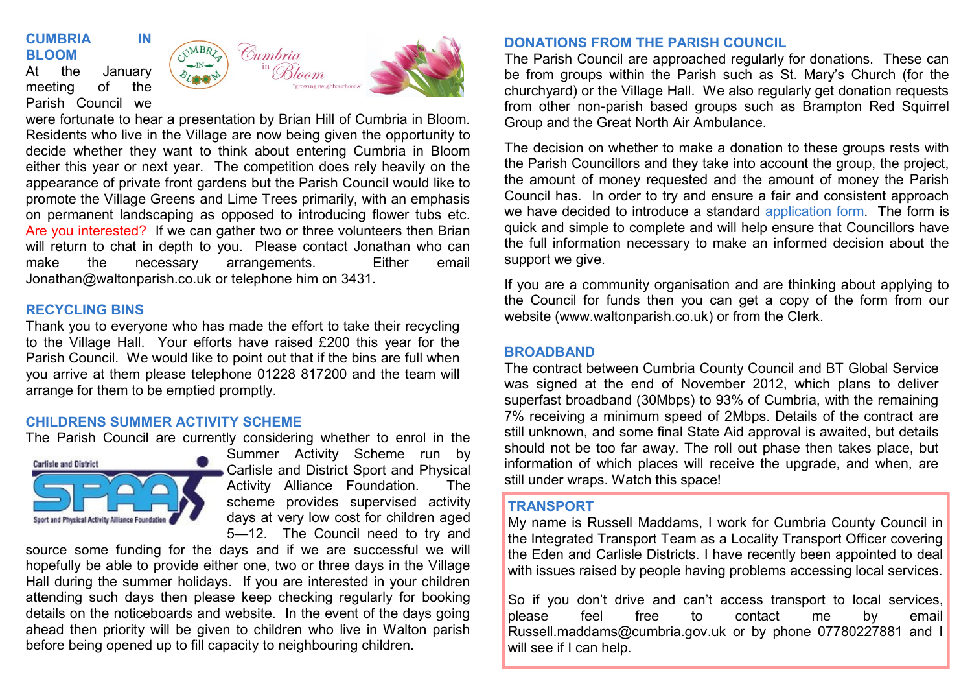## **CUMBRIA IN BLOOM**

At the January meeting of the Parish Council we



were fortunate to hear a presentation by Brian Hill of Cumbria in Bloom. Residents who live in the Village are now being given the opportunity to decide whether they want to think about entering Cumbria in Bloom either this year or next year. The competition does rely heavily on the appearance of private front gardens but the Parish Council would like to promote the Village Greens and Lime Trees primarily, with an emphasis on permanent landscaping as opposed to introducing flower tubs etc. Are you interested? If we can gather two or three volunteers then Brian will return to chat in depth to you. Please contact Jonathan who can make the necessary arrangements. Either email Jonathan@waltonparish.co.uk or telephone him on 3431.

#### **RECYCLING BINS**

Thank you to everyone who has made the effort to take their recycling to the Village Hall. Your efforts have raised £200 this year for the Parish Council. We would like to point out that if the bins are full when you arrive at them please telephone 01228 817200 and the team will arrange for them to be emptied promptly.

#### **CHILDRENS SUMMER ACTIVITY SCHEME**

The Parish Council are currently considering whether to enrol in the



Summer Activity Scheme run by Carlisle and District Sport and Physical Activity Alliance Foundation. The scheme provides supervised activity days at very low cost for children aged 5—12. The Council need to try and

source some funding for the days and if we are successful we will hopefully be able to provide either one, two or three days in the Village Hall during the summer holidays. If you are interested in your children attending such days then please keep checking regularly for booking details on the noticeboards and website. In the event of the days going ahead then priority will be given to children who live in Walton parish before being opened up to fill capacity to neighbouring children.

## **DONATIONS FROM THE PARISH COUNCIL**

The Parish Council are approached regularly for donations. These can be from groups within the Parish such as St. Mary's Church (for the churchyard) or the Village Hall. We also regularly get donation requests from other non-parish based groups such as Brampton Red Squirrel Group and the Great North Air Ambulance.

The decision on whether to make a donation to these groups rests with the Parish Councillors and they take into account the group, the project, the amount of money requested and the amount of money the Parish Council has. In order to try and ensure a fair and consistent approach we have decided to introduce a standard application form. The form is quick and simple to complete and will help ensure that Councillors have the full information necessary to make an informed decision about the support we give.

If you are a community organisation and are thinking about applying to the Council for funds then you can get a copy of the form from our website (www.waltonparish.co.uk) or from the Clerk.

### **BROADBAND**

The contract between Cumbria County Council and BT Global Service was signed at the end of November 2012, which plans to deliver superfast broadband (30Mbps) to 93% of Cumbria, with the remaining 7% receiving a minimum speed of 2Mbps. Details of the contract are still unknown, and some final State Aid approval is awaited, but details should not be too far away. The roll out phase then takes place, but information of which places will receive the upgrade, and when, are still under wraps. Watch this space!

#### **TRANSPORT**

My name is Russell Maddams, I work for Cumbria County Council in the Integrated Transport Team as a Locality Transport Officer covering the Eden and Carlisle Districts. I have recently been appointed to deal with issues raised by people having problems accessing local services.

So if you don't drive and can't access transport to local services, please feel free to contact me by email Russell.maddams@cumbria.gov.uk or by phone 07780227881 and I will see if I can help.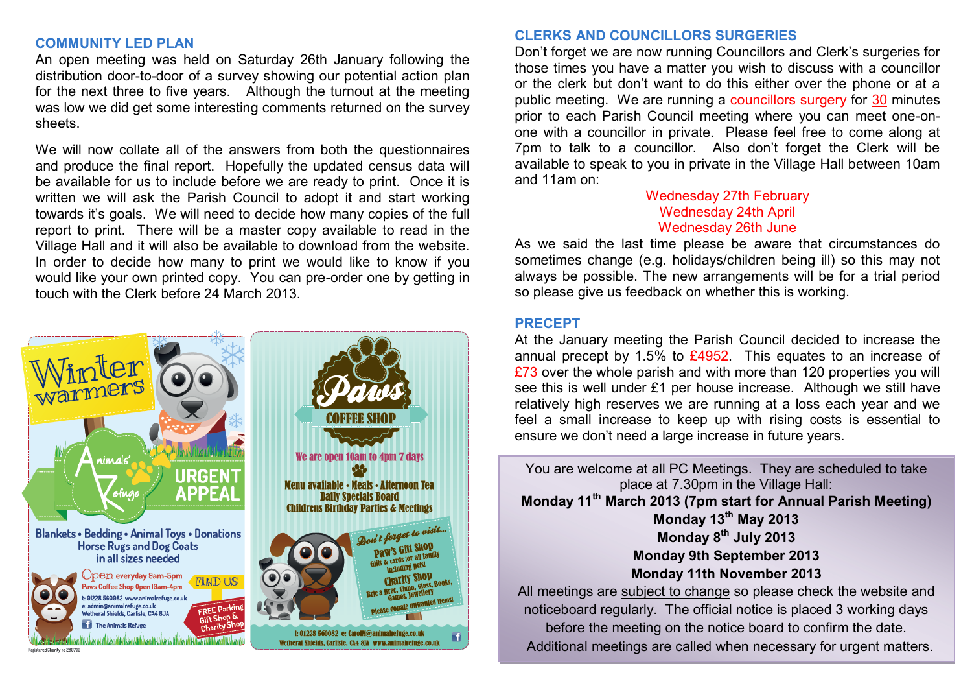#### **COMMUNITY LED PLAN**

An open meeting was held on Saturday 26th January following the distribution door-to-door of a survey showing our potential action plan for the next three to five years. Although the turnout at the meeting was low we did get some interesting comments returned on the survey sheets.

We will now collate all of the answers from both the questionnaires and produce the final report. Hopefully the updated census data will be available for us to include before we are ready to print. Once it is written we will ask the Parish Council to adopt it and start working towards it's goals. We will need to decide how many copies of the full report to print. There will be a master copy available to read in the Village Hall and it will also be available to download from the website. In order to decide how many to print we would like to know if you would like your own printed copy. You can pre-order one by getting in touch with the Clerk before 24 March 2013.



### **CLERKS AND COUNCILLORS SURGERIES**

Don't forget we are now running Councillors and Clerk's surgeries for those times you have a matter you wish to discuss with a councillor or the clerk but don't want to do this either over the phone or at a public meeting. We are running a councillors surgery for 30 minutes prior to each Parish Council meeting where you can meet one-onone with a councillor in private. Please feel free to come along at 7pm to talk to a councillor. Also don't forget the Clerk will be available to speak to you in private in the Village Hall between 10am and 11am on:

### Wednesday 27th February Wednesday 24th April Wednesday 26th June

As we said the last time please be aware that circumstances do sometimes change (e.g. holidays/children being ill) so this may not always be possible. The new arrangements will be for a trial period so please give us feedback on whether this is working.

#### **PRECEPT**

At the January meeting the Parish Council decided to increase the annual precept by 1.5% to  $£4952$ . This equates to an increase of £73 over the whole parish and with more than 120 properties you will see this is well under £1 per house increase. Although we still have relatively high reserves we are running at a loss each year and we feel a small increase to keep up with rising costs is essential to ensure we don't need a large increase in future years.

You are welcome at all PC Meetings. They are scheduled to take place at 7.30pm in the Village Hall: **Monday 11th March 2013 (7pm start for Annual Parish Meeting) Monday 13th May 2013 Monday 8th July 2013 Monday 9th September 2013 Monday 11th November 2013** All meetings are subject to change so please check the website and noticeboard regularly. The official notice is placed 3 working days

before the meeting on the notice board to confirm the date. Additional meetings are called when necessary for urgent matters.